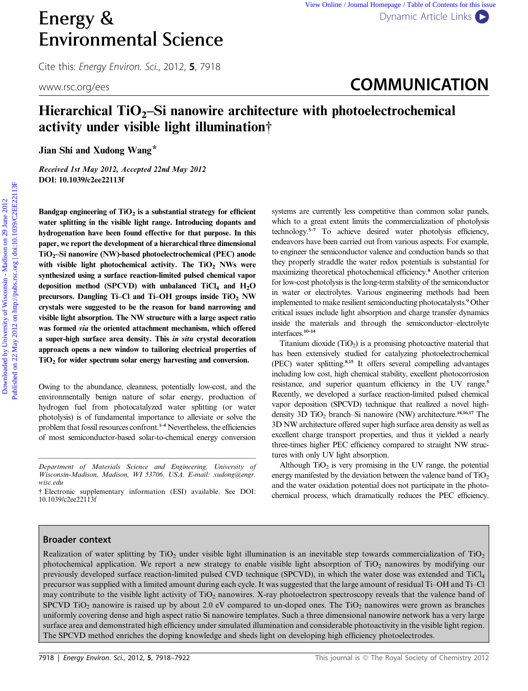# Energy & [Dynamic Article Links](http://dx.doi.org/10.1039/c2ee22113f) Environmental Science

Cite this: Energy Environ. Sci., 2012, <sup>5</sup>, 7918

## www.rsc.org/ees **COMMUNICATION**

## Hierarchical  $TiO<sub>2</sub>$ –Si nanowire architecture with photoelectrochemical activity under visible light illumination†

Jian Shi and Xudong Wang\*

Received 1st May 2012, Accepted 22nd May 2012 DOI: 10.1039/c2ee22113f

Bandgap engineering of  $TiO<sub>2</sub>$  is a substantial strategy for efficient water splitting in the visible light range. Introducing dopants and hydrogenation have been found effective for that purpose. In this paper, we report the development of a hierarchical three dimensional TiO2–Si nanowire (NW)-based photoelectrochemical (PEC) anode with visible light photochemical activity. The  $TiO<sub>2</sub>$  NWs were synthesized using a surface reaction-limited pulsed chemical vapor deposition method (SPCVD) with unbalanced  $TiCl<sub>4</sub>$  and  $H<sub>2</sub>O$ precursors. Dangling Ti–Cl and Ti–OH groups inside TiO<sub>2</sub> NW crystals were suggested to be the reason for band narrowing and visible light absorption. The NW structure with a large aspect ratio was formed via the oriented attachment mechanism, which offered a super-high surface area density. This in situ crystal decoration approach opens a new window to tailoring electrical properties of  $TiO<sub>2</sub>$  for wider spectrum solar energy harvesting and conversion. **Energy &**<br> **Environmental Science**<br>
COMMUNICATION<br>
UNICONTENT ENERGY CONSIDE IS CONSIDE TO  $\frac{1}{2}$  May 2012<br>
MATHEMS CONSIDE TO  $\frac{1}{2}$  May 2012<br> **ENVIRONMENTAL ENERGY CONSIDE AND TO ALCORED CONSIDE TO ALCORED AND TO** 

Owing to the abundance, cleanness, potentially low-cost, and the environmentally benign nature of solar energy, production of hydrogen fuel from photocatalyzed water splitting (or water photolysis) is of fundamental importance to alleviate or solve the problem that fossil resources confront.<sup>1-4</sup> Nevertheless, the efficiencies of most semiconductor-based solar-to-chemical energy conversion

Department of Materials Science and Engineering, University of Wisconsin-Madison, Madison, WI 53706, USA. E-mail: xudong@engr. wisc.edu

systems are currently less competitive than common solar panels, which to a great extent limits the commercialization of photolysis technology.5–7 To achieve desired water photolysis efficiency, endeavors have been carried out from various aspects. For example, to engineer the semiconductor valence and conduction bands so that they properly straddle the water redox potentials is substantial for maximizing theoretical photochemical efficiency.<sup>8</sup> Another criterion for low-cost photolysis is the long-term stability of the semiconductor in water or electrolytes. Various engineering methods had been implemented to make resilient semiconducting photocatalysts.<sup>9</sup> Other critical issues include light absorption and charge transfer dynamics inside the materials and through the semiconductor–electrolyte interfaces.10–14

Titanium dioxide  $(TiO<sub>2</sub>)$  is a promising photoactive material that has been extensively studied for catalyzing photoelectrochemical (PEC) water splitting.8,15 It offers several compelling advantages including low cost, high chemical stability, excellent photocorrosion resistance, and superior quantum efficiency in the UV range.<sup>5</sup> Recently, we developed a surface reaction-limited pulsed chemical vapor deposition (SPCVD) technique that realized a novel highdensity 3D  $TiO<sub>2</sub>$  branch–Si nanowire (NW) architecture.<sup>14,16,17</sup> The 3D NW architecture offered super high surface area density as well as excellent charge transport properties, and thus it yielded a nearly three-times higher PEC efficiency compared to straight NW structures with only UV light absorption.

Although  $TiO<sub>2</sub>$  is very promising in the UV range, the potential energy manifested by the deviation between the valence band of  $TiO<sub>2</sub>$ and the water oxidation potential does not participate in the photochemical process, which dramatically reduces the PEC efficiency.

### Broader context

Realization of water splitting by TiO<sub>2</sub> under visible light illumination is an inevitable step towards commercialization of TiO<sub>2</sub> photochemical application. We report a new strategy to enable visible light absorption of  $TiO<sub>2</sub>$  nanowires by modifying our previously developed surface reaction-limited pulsed CVD technique (SPCVD), in which the water dose was extended and TiCl4 precursor was supplied with a limited amount during each cycle. It was suggested that the large amount of residual Ti–OH and Ti–Cl may contribute to the visible light activity of TiO<sub>2</sub> nanowires. X-ray photoelectron spectroscopy reveals that the valence band of SPCVD TiO<sub>2</sub> nanowire is raised up by about 2.0 eV compared to un-doped ones. The TiO<sub>2</sub> nanowires were grown as branches uniformly covering dense and high aspect ratio Si nanowire templates. Such a three dimensional nanowire network has a very large surface area and demonstrated high efficiency under simulated illumination and considerable photoactivity in the visible light region. The SPCVD method enriches the doping knowledge and sheds light on developing high efficiency photoelectrodes.

<sup>†</sup> Electronic supplementary information (ESI) available. See DOI: 10.1039/c2ee22113f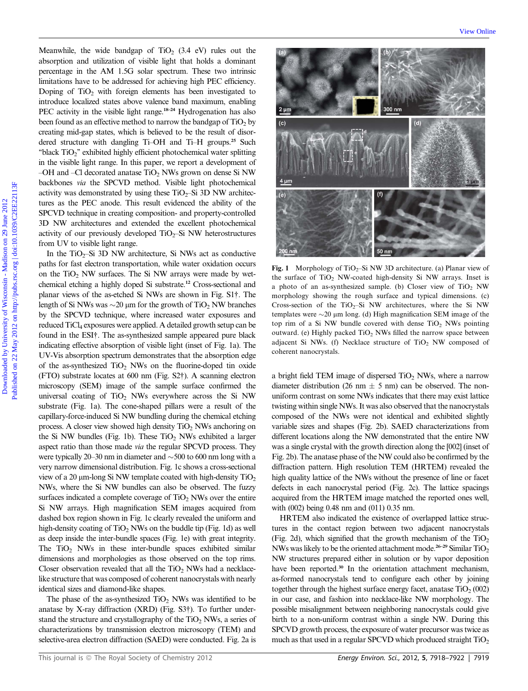Meanwhile, the wide bandgap of  $TiO<sub>2</sub>$  (3.4 eV) rules out the absorption and utilization of visible light that holds a dominant percentage in the AM 1.5G solar spectrum. These two intrinsic limitations have to be addressed for achieving high PEC efficiency. Doping of  $TiO<sub>2</sub>$  with foreign elements has been investigated to introduce localized states above valence band maximum, enabling PEC activity in the visible light range.<sup>18–24</sup> Hydrogenation has also been found as an effective method to narrow the bandgap of  $TiO<sub>2</sub>$  by creating mid-gap states, which is believed to be the result of disordered structure with dangling Ti–OH and Ti–H groups.<sup>25</sup> Such ''black TiO2'' exhibited highly efficient photochemical water splitting in the visible light range. In this paper, we report a development of –OH and –Cl decorated anatase  $TiO<sub>2</sub>$  NWs grown on dense Si NW backbones via the SPCVD method. Visible light photochemical activity was demonstrated by using these  $TiO<sub>2</sub>$ –Si 3D NW architectures as the PEC anode. This result evidenced the ability of the SPCVD technique in creating composition- and property-controlled 3D NW architectures and extended the excellent photochemical activity of our previously developed  $TiO<sub>2</sub>$ –Si NW heterostructures from UV to visible light range.

In the  $TiO<sub>2</sub>$ -Si 3D NW architecture, Si NWs act as conductive paths for fast electron transportation, while water oxidation occurs on the  $TiO<sub>2</sub>$  NW surfaces. The Si NW arrays were made by wetchemical etching a highly doped Si substrate.<sup>12</sup> Cross-sectional and planar views of the as-etched Si NWs are shown in Fig. S1†. The length of Si NWs was  $\sim$ 20 µm for the growth of TiO<sub>2</sub> NW branches by the SPCVD technique, where increased water exposures and reduced TiCl<sub>4</sub> exposures were applied. A detailed growth setup can be found in the ESI†. The as-synthesized sample appeared pure black indicating effective absorption of visible light (inset of Fig. 1a). The UV-Vis absorption spectrum demonstrates that the absorption edge of the as-synthesized  $TiO<sub>2</sub>$  NWs on the fluorine-doped tin oxide (FTO) substrate locates at 600 nm (Fig. S2†). A scanning electron microscopy (SEM) image of the sample surface confirmed the universal coating of  $TiO<sub>2</sub>$  NWs everywhere across the Si NW substrate (Fig. 1a). The cone-shaped pillars were a result of the capillary-force-induced Si NW bundling during the chemical etching process. A closer view showed high density  $TiO<sub>2</sub>$  NWs anchoring on the Si NW bundles (Fig. 1b). These  $TiO<sub>2</sub>$  NWs exhibited a larger aspect ratio than those made via the regular SPCVD process. They were typically 20–30 nm in diameter and  $\sim$  500 to 600 nm long with a very narrow dimensional distribution. Fig. 1c shows a cross-sectional view of a 20  $\mu$ m-long Si NW template coated with high-density TiO<sub>2</sub> NWs, where the Si NW bundles can also be observed. The fuzzy surfaces indicated a complete coverage of  $TiO<sub>2</sub>$  NWs over the entire Si NW arrays. High magnification SEM images acquired from dashed box region shown in Fig. 1c clearly revealed the uniform and high-density coating of  $TiO<sub>2</sub> NWs$  on the buddle tip (Fig. 1d) as well as deep inside the inter-bundle spaces (Fig. 1e) with great integrity. The  $TiO<sub>2</sub>$  NWs in these inter-bundle spaces exhibited similar dimensions and morphologies as those observed on the top rims. Closer observation revealed that all the  $TiO<sub>2</sub>$  NWs had a necklacelike structure that was composed of coherent nanocrystals with nearly identical sizes and diamond-like shapes.

The phase of the as-synthesized  $TiO<sub>2</sub>$  NWs was identified to be anatase by X-ray diffraction (XRD) (Fig. S3†). To further understand the structure and crystallography of the  $TiO<sub>2</sub> NWs$ , a series of characterizations by transmission electron microscopy (TEM) and selective-area electron diffraction (SAED) were conducted. Fig. 2a is



Fig. 1 Morphology of TiO<sub>2</sub>–Si NW 3D architecture. (a) Planar view of the surface of  $TiO<sub>2</sub>$  NW-coated high-density Si NW arrays. Inset is a photo of an as-synthesized sample. (b) Closer view of  $TiO<sub>2</sub> NW$ morphology showing the rough surface and typical dimensions. (c) Cross-section of the TiO<sub>2</sub>–Si NW architectures, where the Si NW templates were  $\sim$ 20  $\mu$ m long. (d) High magnification SEM image of the top rim of a Si NW bundle covered with dense  $TiO<sub>2</sub>$  NWs pointing outward. (e) Highly packed  $TiO<sub>2</sub>$  NWs filled the narrow space between adjacent Si NWs. (f) Necklace structure of  $TiO<sub>2</sub>$  NW composed of coherent nanocrystals.

a bright field TEM image of dispersed  $TiO<sub>2</sub>$  NWs, where a narrow diameter distribution (26 nm  $\pm$  5 nm) can be observed. The nonuniform contrast on some NWs indicates that there may exist lattice twisting within single NWs. It was also observed that the nanocrystals composed of the NWs were not identical and exhibited slightly variable sizes and shapes (Fig. 2b). SAED characterizations from different locations along the NW demonstrated that the entire NW was a single crystal with the growth direction along the [002] (inset of Fig. 2b). The anatase phase of the NW could also be confirmed by the diffraction pattern. High resolution TEM (HRTEM) revealed the high quality lattice of the NWs without the presence of line or facet defects in each nanocrystal period (Fig. 2c). The lattice spacings acquired from the HRTEM image matched the reported ones well, with (002) being 0.48 nm and (011) 0.35 nm.

HRTEM also indicated the existence of overlapped lattice structures in the contact region between two adjacent nanocrystals (Fig. 2d), which signified that the growth mechanism of the  $TiO<sub>2</sub>$ NWs was likely to be the oriented attachment mode.26–29 Similar TiO2 NW structures prepared either in solution or by vapor deposition have been reported.<sup>30</sup> In the orientation attachment mechanism, as-formed nanocrystals tend to configure each other by joining together through the highest surface energy facet, anatase  $TiO<sub>2</sub> (002)$ in our case, and fashion into necklace-like NW morphology. The possible misalignment between neighboring nanocrystals could give birth to a non-uniform contrast within a single NW. During this SPCVD growth process, the exposure of water precursor was twice as much as that used in a regular SPCVD which produced straight  $TiO<sub>2</sub>$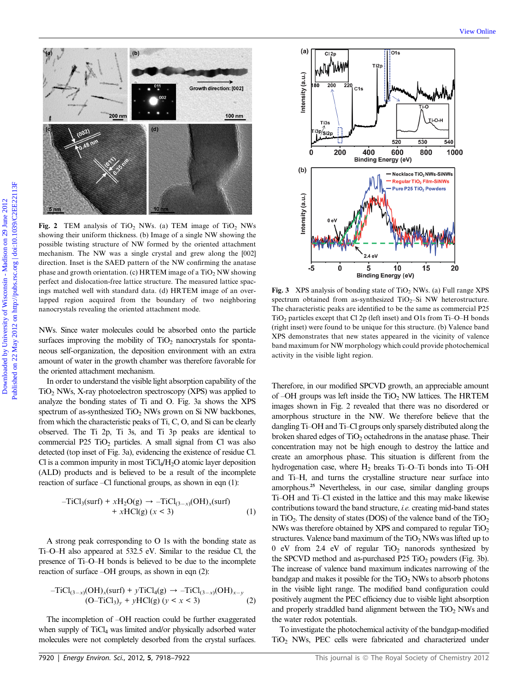

Fig. 2 TEM analysis of TiO<sub>2</sub> NWs. (a) TEM image of TiO<sub>2</sub> NWs showing their uniform thickness. (b) Image of a single NW showing the possible twisting structure of NW formed by the oriented attachment mechanism. The NW was a single crystal and grew along the [002] direction. Inset is the SAED pattern of the NW confirming the anatase phase and growth orientation. (c) HRTEM image of a  $TiO<sub>2</sub> NW$  showing perfect and dislocation-free lattice structure. The measured lattice spacings matched well with standard data. (d) HRTEM image of an overlapped region acquired from the boundary of two neighboring nanocrystals revealing the oriented attachment mode.

NWs. Since water molecules could be absorbed onto the particle surfaces improving the mobility of  $TiO<sub>2</sub>$  nanocrystals for spontaneous self-organization, the deposition environment with an extra amount of water in the growth chamber was therefore favorable for the oriented attachment mechanism.

In order to understand the visible light absorption capability of the TiO2 NWs, X-ray photoelectron spectroscopy (XPS) was applied to analyze the bonding states of Ti and O. Fig. 3a shows the XPS spectrum of as-synthesized  $TiO<sub>2</sub>$  NWs grown on Si NW backbones, from which the characteristic peaks of Ti, C, O, and Si can be clearly observed. The Ti 2p, Ti 3s, and Ti 3p peaks are identical to commercial P25  $TiO<sub>2</sub>$  particles. A small signal from Cl was also detected (top inset of Fig. 3a), evidencing the existence of residue Cl. Cl is a common impurity in most  $TiCl<sub>4</sub>/H<sub>2</sub>O$  atomic layer deposition (ALD) products and is believed to be a result of the incomplete reaction of surface –Cl functional groups, as shown in eqn (1):

$$
-TiCl3(surf) + xH2O(g) \rightarrow -TiCl(3-x)(OH)x(surf)+ xHCl(g) (x < 3)
$$
 (1)

A strong peak corresponding to O 1s with the bonding state as Ti–O–H also appeared at 532.5 eV. Similar to the residue Cl, the presence of Ti–O–H bonds is believed to be due to the incomplete reaction of surface –OH groups, as shown in eqn (2):

$$
-TiCl_{(3-x)}(OH)_x(surf) + yTiCl_4(g) \rightarrow -TiCl_{(3-x)}(OH)_{x-y}
$$
  
(O-TiCl<sub>3</sub>)<sub>y</sub> + yHCl(g) (y < x < 3) (2)

The incompletion of –OH reaction could be further exaggerated when supply of TiCl<sub>4</sub> was limited and/or physically adsorbed water molecules were not completely desorbed from the crystal surfaces.



Fig. 3 XPS analysis of bonding state of  $TiO<sub>2</sub> NWs$ . (a) Full range XPS spectrum obtained from as-synthesized  $TiO<sub>2</sub>$ –Si NW heterostructure. The characteristic peaks are identified to be the same as commercial P25  $TiO<sub>2</sub>$  particles except that Cl 2p (left inset) and O1s from Ti–O–H bonds (right inset) were found to be unique for this structure. (b) Valence band XPS demonstrates that new states appeared in the vicinity of valence band maximum for NW morphology which could provide photochemical activity in the visible light region.

Therefore, in our modified SPCVD growth, an appreciable amount of  $-OH$  groups was left inside the  $TiO<sub>2</sub>$  NW lattices. The HRTEM images shown in Fig. 2 revealed that there was no disordered or amorphous structure in the NW. We therefore believe that the dangling Ti–OH and Ti–Cl groups only sparsely distributed along the broken shared edges of  $TiO<sub>2</sub>$  octahedrons in the anatase phase. Their concentration may not be high enough to destroy the lattice and create an amorphous phase. This situation is different from the hydrogenation case, where  $H_2$  breaks Ti–O–Ti bonds into Ti–OH and Ti–H, and turns the crystalline structure near surface into amorphous.<sup>25</sup> Nevertheless, in our case, similar dangling groups Ti–OH and Ti–Cl existed in the lattice and this may make likewise contributions toward the band structure, i.e. creating mid-band states in TiO<sub>2</sub>. The density of states (DOS) of the valence band of the TiO<sub>2</sub> NWs was therefore obtained by XPS and compared to regular TiO2 structures. Valence band maximum of the  $TiO<sub>2</sub> NWs$  was lifted up to 0 eV from 2.4 eV of regular  $TiO<sub>2</sub>$  nanorods synthesized by the SPCVD method and as-purchased P25  $TiO<sub>2</sub>$  powders (Fig. 3b). The increase of valence band maximum indicates narrowing of the bandgap and makes it possible for the  $TiO<sub>2</sub>$  NWs to absorb photons in the visible light range. The modified band configuration could positively augment the PEC efficiency due to visible light absorption and properly straddled band alignment between the  $TiO<sub>2</sub>$  NWs and the water redox potentials.

To investigate the photochemical activity of the bandgap-modified TiO<sub>2</sub> NWs, PEC cells were fabricated and characterized under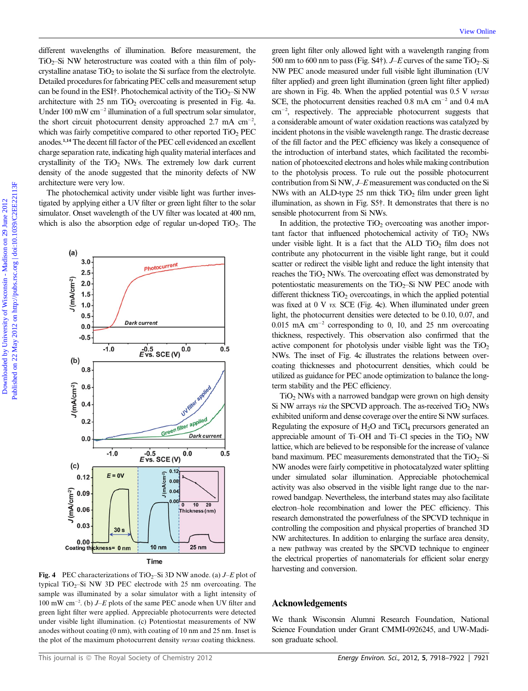different wavelengths of illumination. Before measurement, the  $TiO<sub>2</sub>$ -Si NW heterostructure was coated with a thin film of polycrystalline anatase  $TiO<sub>2</sub>$  to isolate the Si surface from the electrolyte. Detailed procedures for fabricating PEC cells and measurement setup can be found in the ESI†. Photochemical activity of the  $TiO<sub>2</sub>$ –Si NW architecture with  $25 \text{ nm } TiO<sub>2</sub>$  overcoating is presented in Fig. 4a. Under 100 mW  $cm^{-2}$  illumination of a full spectrum solar simulator, the short circuit photocurrent density approached  $2.7 \text{ mA cm}^{-2}$ , which was fairly competitive compared to other reported  $TiO<sub>2</sub> PEC$ anodes.1,14The decent fill factor of the PEC cell evidenced an excellent charge separation rate, indicating high quality material interfaces and crystallinity of the  $TiO<sub>2</sub>$  NWs. The extremely low dark current density of the anode suggested that the minority defects of NW architecture were very low.

The photochemical activity under visible light was further investigated by applying either a UV filter or green light filter to the solar simulator. Onset wavelength of the UV filter was located at 400 nm, which is also the absorption edge of regular un-doped  $TiO<sub>2</sub>$ . The



Fig. 4 PEC characterizations of TiO<sub>2</sub>–Si 3D NW anode. (a)  $J-E$  plot of typical  $TiO<sub>2</sub>$ –Si NW 3D PEC electrode with 25 nm overcoating. The sample was illuminated by a solar simulator with a light intensity of  $100 \text{ mW cm}^{-2}$ . (b)  $J-E$  plots of the same PEC anode when UV filter and green light filter were applied. Appreciable photocurrents were detected under visible light illumination. (c) Potentiostat measurements of NW anodes without coating (0 nm), with coating of 10 nm and 25 nm. Inset is the plot of the maximum photocurrent density versus coating thickness.

green light filter only allowed light with a wavelength ranging from 500 nm to 600 nm to pass (Fig. S4†).  $J-E$  curves of the same TiO<sub>2</sub>–Si NW PEC anode measured under full visible light illumination (UV filter applied) and green light illumination (green light filter applied) are shown in Fig. 4b. When the applied potential was 0.5 V versus SCE, the photocurrent densities reached  $0.8 \text{ mA cm}^{-2}$  and  $0.4 \text{ mA}$ cm<sup>-2</sup>, respectively. The appreciable photocurrent suggests that a considerable amount of water oxidation reactions was catalyzed by incident photons in the visible wavelength range. The drastic decrease of the fill factor and the PEC efficiency was likely a consequence of the introduction of interband states, which facilitated the recombination of photoexcited electrons and holes while making contribution to the photolysis process. To rule out the possible photocurrent contribution from Si NW, J–E measurement was conducted on the Si NWs with an ALD-type 25 nm thick  $TiO<sub>2</sub>$  film under green light illumination, as shown in Fig. S5†. It demonstrates that there is no sensible photocurrent from Si NWs.

In addition, the protective  $TiO<sub>2</sub>$  overcoating was another important factor that influenced photochemical activity of TiO<sub>2</sub> NWs under visible light. It is a fact that the ALD  $TiO<sub>2</sub>$  film does not contribute any photocurrent in the visible light range, but it could scatter or redirect the visible light and reduce the light intensity that reaches the  $TiO<sub>2</sub>$  NWs. The overcoating effect was demonstrated by potentiostatic measurements on the  $TiO<sub>2</sub>$ -Si NW PEC anode with different thickness  $TiO<sub>2</sub>$  overcoatings, in which the applied potential was fixed at 0 V vs. SCE (Fig. 4c). When illuminated under green light, the photocurrent densities were detected to be 0.10, 0.07, and  $0.015$  mA cm<sup>-2</sup> corresponding to 0, 10, and 25 nm overcoating thickness, respectively. This observation also confirmed that the active component for photolysis under visible light was the  $TiO<sub>2</sub>$ NWs. The inset of Fig. 4c illustrates the relations between overcoating thicknesses and photocurrent densities, which could be utilized as guidance for PEC anode optimization to balance the longterm stability and the PEC efficiency. The consistency of the state of New York (Englanger and the state of New York (Englanger and the state of New York (Englanger and the state of New York (Englanger and the state of New York (Englanger and the state of New

 $TiO<sub>2</sub> NWs$  with a narrowed bandgap were grown on high density Si NW arrays via the SPCVD approach. The as-received  $TiO<sub>2</sub>$  NWs exhibited uniform and dense coverage over the entire Si NW surfaces. Regulating the exposure of H<sub>2</sub>O and TiCl<sub>4</sub> precursors generated an appreciable amount of Ti–OH and Ti–Cl species in the  $TiO<sub>2</sub> NW$ lattice, which are believed to be responsible for the increase of valance band maximum. PEC measurements demonstrated that the  $TiO<sub>2</sub>$ –Si NW anodes were fairly competitive in photocatalyzed water splitting under simulated solar illumination. Appreciable photochemical activity was also observed in the visible light range due to the narrowed bandgap. Nevertheless, the interband states may also facilitate electron–hole recombination and lower the PEC efficiency. This research demonstrated the powerfulness of the SPCVD technique in controlling the composition and physical properties of branched 3D NW architectures. In addition to enlarging the surface area density, a new pathway was created by the SPCVD technique to engineer the electrical properties of nanomaterials for efficient solar energy harvesting and conversion.

### Acknowledgements

We thank Wisconsin Alumni Research Foundation, National Science Foundation under Grant CMMI-0926245, and UW-Madison graduate school.